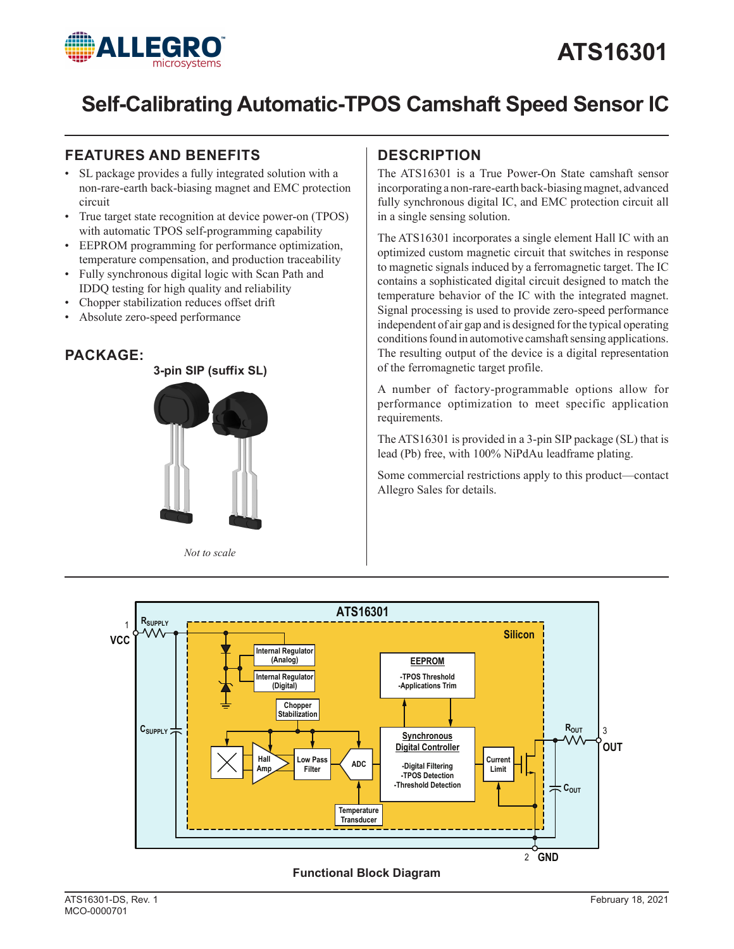

# **ATS16301**

# **Self-Calibrating Automatic-TPOS Camshaft Speed Sensor IC**

## **FEATURES AND BENEFITS DESCRIPTION**

- SL package provides a fully integrated solution with a non-rare-earth back-biasing magnet and EMC protection circuit
- True target state recognition at device power-on (TPOS) with automatic TPOS self-programming capability
- EEPROM programming for performance optimization, temperature compensation, and production traceability
- Fully synchronous digital logic with Scan Path and IDDQ testing for high quality and reliability
- Chopper stabilization reduces offset drift
- Absolute zero-speed performance

## **PACKAGE:**



*Not to scale*

The ATS16301 is a True Power-On State camshaft sensor incorporating a non-rare-earth back-biasing magnet, advanced fully synchronous digital IC, and EMC protection circuit all in a single sensing solution.

The ATS16301 incorporates a single element Hall IC with an optimized custom magnetic circuit that switches in response to magnetic signals induced by a ferromagnetic target. The IC contains a sophisticated digital circuit designed to match the temperature behavior of the IC with the integrated magnet. Signal processing is used to provide zero-speed performance independent of air gap and is designed for the typical operating conditions found in automotive camshaft sensing applications. The resulting output of the device is a digital representation of the ferromagnetic target profile.

A number of factory-programmable options allow for performance optimization to meet specific application requirements.

The ATS16301 is provided in a 3-pin SIP package (SL) that is lead (Pb) free, with 100% NiPdAu leadframe plating.

Some commercial restrictions apply to this product—contact Allegro Sales for details.



### **Functional Block Diagram**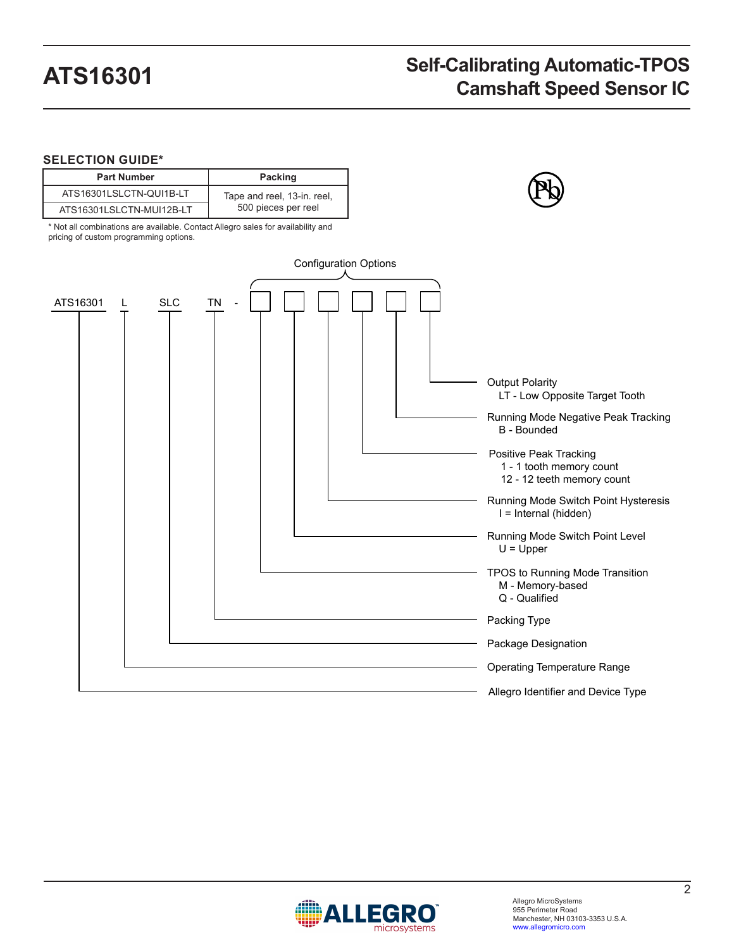### **SELECTION GUIDE\***

| <b>Part Number</b>       | Packing                     |
|--------------------------|-----------------------------|
| ATS16301LSLCTN-QUI1B-LT  | Tape and reel, 13-in. reel, |
| ATS16301LSLCTN-MUI12B-LT | 500 pieces per reel         |

\* Not all combinations are available. Contact Allegro sales for availability and pricing of custom programming options.



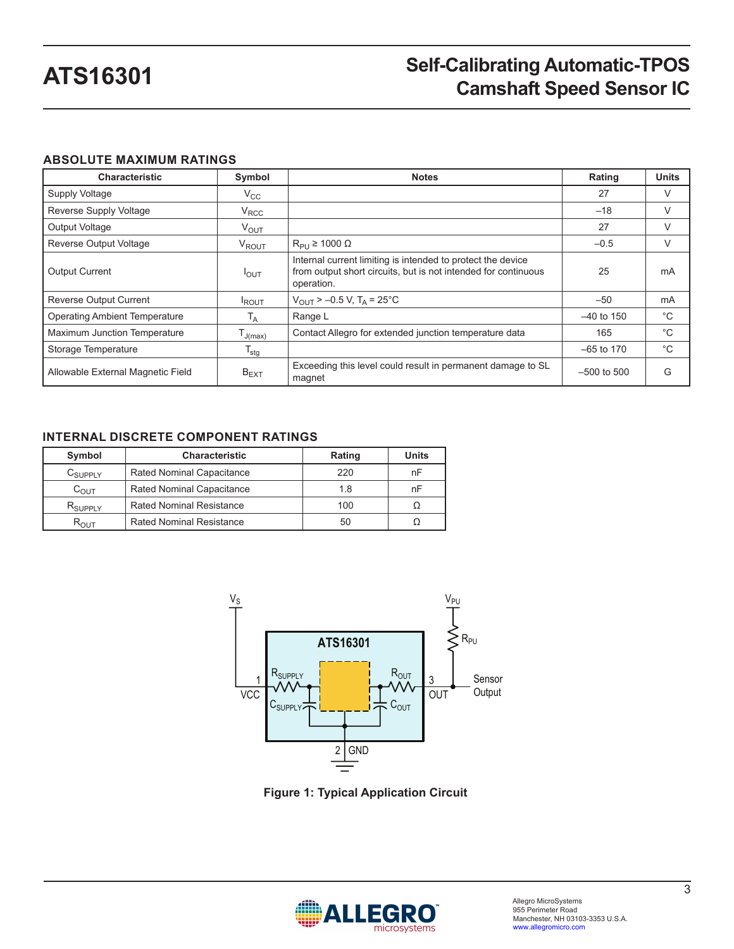### **ABSOLUTE MAXIMUM RATINGS**

| <b>Characteristic</b>                | Symbol                    | <b>Notes</b>                                                                                                                                | Rating          | <b>Units</b> |
|--------------------------------------|---------------------------|---------------------------------------------------------------------------------------------------------------------------------------------|-----------------|--------------|
| <b>Supply Voltage</b>                | $V_{\rm CC}$              |                                                                                                                                             | 27              | $\vee$       |
| Reverse Supply Voltage               | $V_{\text{RCC}}$          |                                                                                                                                             | $-18$           | V            |
| <b>Output Voltage</b>                | $V_{\text{OUT}}$          |                                                                                                                                             | 27              | V            |
| <b>Reverse Output Voltage</b>        | $V_{ROUT}$                | $R_{\text{Pl}} \ge 1000 \Omega$                                                                                                             | $-0.5$          | V            |
| <b>Output Current</b>                | $I_{OUT}$                 | Internal current limiting is intended to protect the device<br>from output short circuits, but is not intended for continuous<br>operation. | 25              | mA           |
| <b>Reverse Output Current</b>        | <b>IROUT</b>              | $V_{\text{OUT}}$ > -0.5 V, T <sub>A</sub> = 25°C                                                                                            | $-50$           | mA           |
| <b>Operating Ambient Temperature</b> | T <sub>A</sub>            | Range L                                                                                                                                     | $-40$ to 150    | $^{\circ}C$  |
| <b>Maximum Junction Temperature</b>  | $I_{J(max)}$              | Contact Allegro for extended junction temperature data                                                                                      | 165             | °С           |
| Storage Temperature                  | $\mathsf{T}_{\text{stg}}$ |                                                                                                                                             | $-65$ to 170    | °С           |
| Allowable External Magnetic Field    | $B_{EXT}$                 | Exceeding this level could result in permanent damage to SL<br>magnet                                                                       | $-500$ to $500$ | G            |

### **INTERNAL DISCRETE COMPONENT RATINGS**

| Symbol              | <b>Characteristic</b>            | Rating | <b>Units</b> |
|---------------------|----------------------------------|--------|--------------|
| $C_{\text{SUPPLY}}$ | <b>Rated Nominal Capacitance</b> | 220    | nF           |
| $C_{\text{OUT}}$    | <b>Rated Nominal Capacitance</b> | 1.8    | nF           |
| $R_{SUPPIY}$        | <b>Rated Nominal Resistance</b>  | 100    |              |
| $R_{\text{OUT}}$    | Rated Nominal Resistance         | 50     |              |



**Figure 1: Typical Application Circuit**

<span id="page-2-0"></span>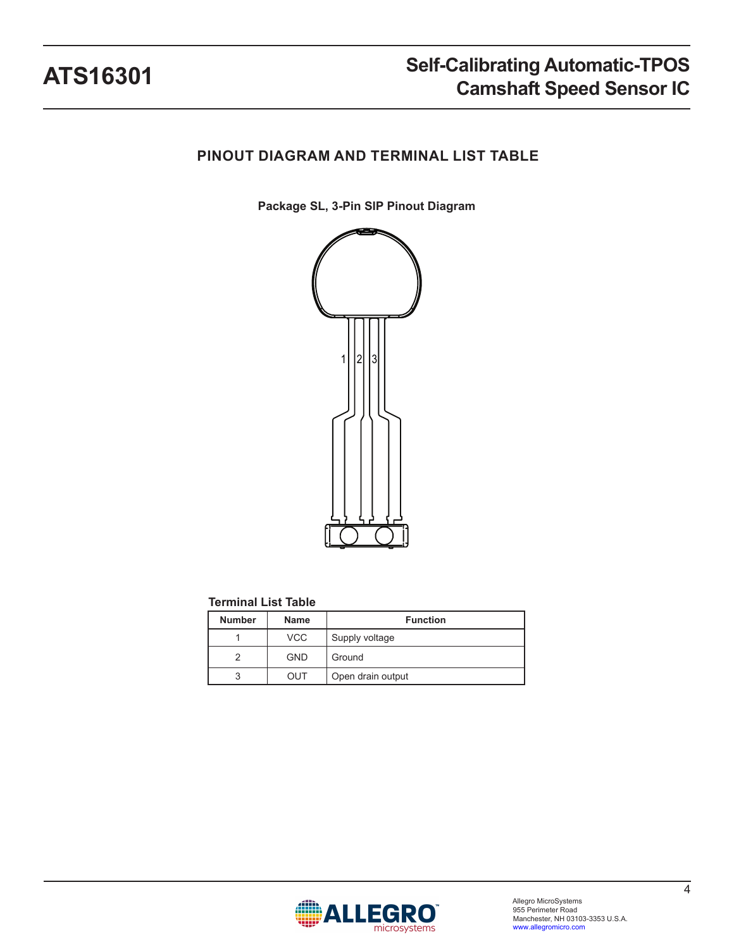## **PINOUT DIAGRAM AND TERMINAL LIST TABLE**

**Package SL, 3-Pin SIP Pinout Diagram**



### **Terminal List Table**

| <b>Number</b> | <b>Name</b> | <b>Function</b>   |
|---------------|-------------|-------------------|
|               | <b>VCC</b>  | Supply voltage    |
|               | <b>GND</b>  | Ground            |
|               | OUT         | Open drain output |

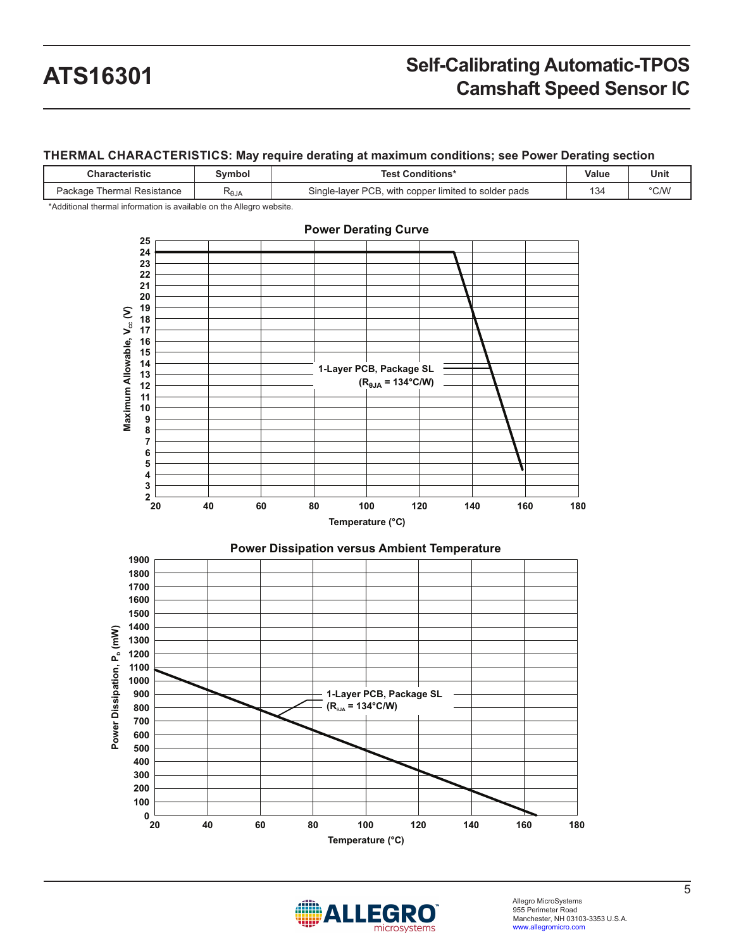#### **THERMAL CHARACTERISTICS: May require derating at maximum conditions; see Power Derating section**

| <b>Characteristic</b>         | Svmbol                 | <b>Test Conditions*</b>                              | Value | Unit |
|-------------------------------|------------------------|------------------------------------------------------|-------|------|
| Thermal Resistance<br>Package | <b>ALO<sup>T</sup></b> | Single-layer PCB, with copper limited to solder pads | 134   | °C/W |

\*Additional thermal information is available on the Allegro website.



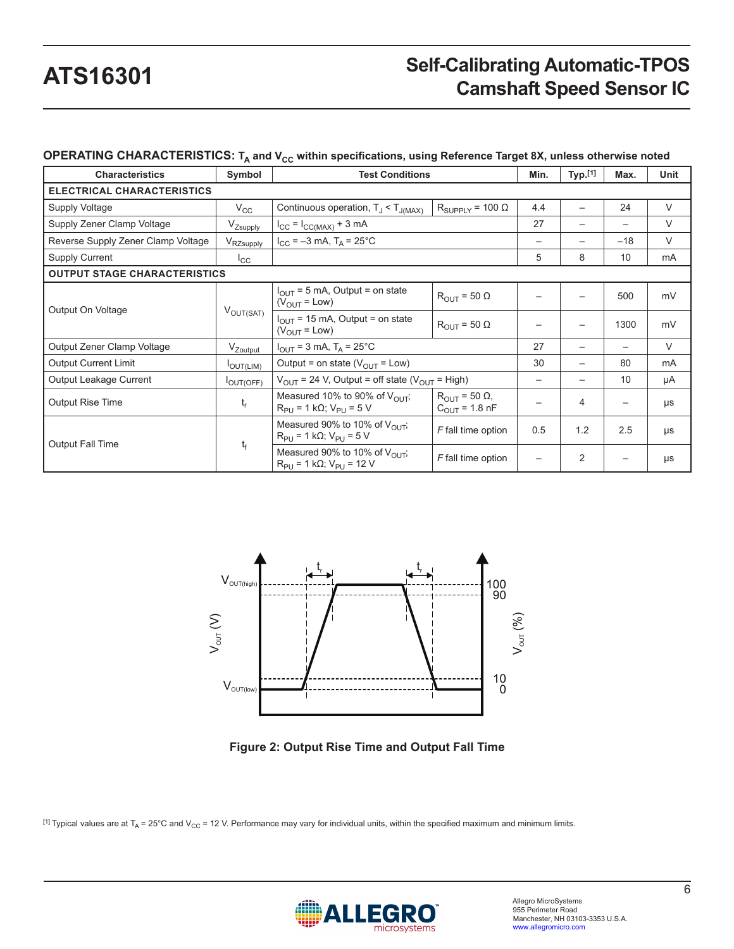### **OPERATING CHARACTERISTICS:** T<sub>A</sub> and V<sub>CC</sub> within specifications, using Reference Target 8X, unless otherwise noted

| <b>Characteristics</b>              | Symbol                | <b>Test Conditions</b>                                                               |                                                 | Min.              | Typ.[1]                  | Max.  | Unit   |
|-------------------------------------|-----------------------|--------------------------------------------------------------------------------------|-------------------------------------------------|-------------------|--------------------------|-------|--------|
| <b>ELECTRICAL CHARACTERISTICS</b>   |                       |                                                                                      |                                                 |                   |                          |       |        |
| <b>Supply Voltage</b>               | $V_{\rm CC}$          | Continuous operation, $T_J < T_{J(MAX)}$                                             | $R_{\text{SUPPLY}} = 100 \Omega$                | 4.4               |                          | 24    | $\vee$ |
| Supply Zener Clamp Voltage          | V <sub>Zsupply</sub>  | $I_{CC} = I_{CC(MAX)} + 3 mA$                                                        |                                                 | 27                | $\overline{\phantom{0}}$ | —     | V      |
| Reverse Supply Zener Clamp Voltage  | V <sub>RZsupply</sub> | $I_{CC} = -3$ mA, $T_A = 25^{\circ}$ C                                               |                                                 | $\qquad \qquad -$ | —                        | $-18$ | V      |
| <b>Supply Current</b>               | $I_{\rm CC}$          |                                                                                      |                                                 | 5                 | 8                        | 10    | mA     |
| <b>OUTPUT STAGE CHARACTERISTICS</b> |                       |                                                                                      |                                                 |                   |                          |       |        |
| Output On Voltage                   | $V_{\text{OUT(SAT)}}$ | $I_{\text{OUT}}$ = 5 mA, Output = on state<br>$(V_{\text{OUT}} = \text{Low})$        | $R_{\text{OUT}}$ = 50 $\Omega$                  |                   |                          | 500   | mV     |
|                                     |                       | $I_{\text{OUT}}$ = 15 mA, Output = on state<br>$(V_{\text{OUT}} = \text{Low})$       | $R_{\text{OUT}}$ = 50 $\Omega$                  |                   |                          | 1300  | mV     |
| Output Zener Clamp Voltage          | V <sub>Zoutput</sub>  | $I_{\text{OUT}}$ = 3 mA, T <sub>A</sub> = 25°C                                       |                                                 | 27                | $\overline{\phantom{0}}$ | —     | $\vee$ |
| <b>Output Current Limit</b>         | <b>I</b> OUT(LIM)     | Output = on state ( $V_{\text{OUT}}$ = Low)                                          |                                                 | 30                |                          | 80    | mA     |
| Output Leakage Current              | OUT(OFF)              | $V_{\text{OUT}}$ = 24 V, Output = off state ( $V_{\text{OUT}}$ = High)               |                                                 | $\qquad \qquad$   |                          | 10    | μA     |
| <b>Output Rise Time</b>             | $t_r$                 | Measured 10% to 90% of V <sub>OUT</sub> ;<br>$R_{PI}$ = 1 kΩ; V <sub>PU</sub> = 5 V  | $R_{OUT}$ = 50 $\Omega$ ,<br>$C_{OUT}$ = 1.8 nF |                   | 4                        | —     | μs     |
| <b>Output Fall Time</b>             | $t_f$                 | Measured 90% to 10% of V <sub>OUT</sub> ;<br>$R_{P11} = 1 k\Omega$ ; $V_{P11} = 5 V$ | F fall time option                              | 0.5               | 1.2                      | 2.5   | μs     |
|                                     |                       | Measured 90% to 10% of $V_{\text{OUT}}$ .<br>$R_{PU}$ = 1 kΩ; V <sub>PU</sub> = 12 V | F fall time option                              |                   | 2                        |       | μs     |



**Figure 2: Output Rise Time and Output Fall Time**

[1] Typical values are at T<sub>A</sub> = 25°C and V<sub>CC</sub> = 12 V. Performance may vary for individual units, within the specified maximum and minimum limits.

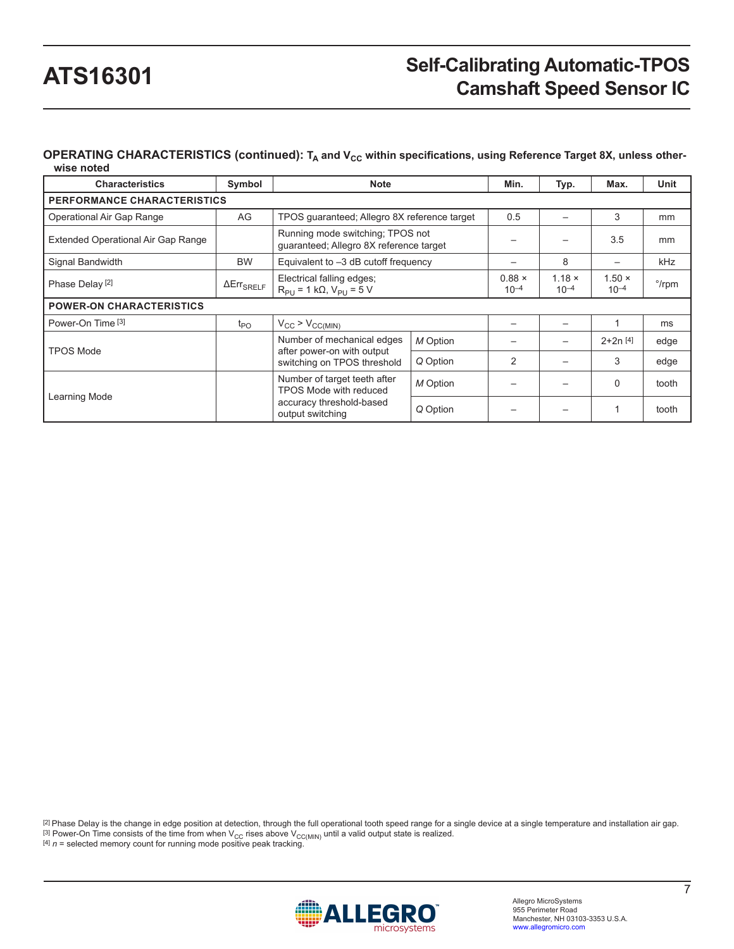#### OPERATING CHARACTERISTICS (continued): T<sub>A</sub> and V<sub>CC</sub> within specifications, using Reference Target 8X, unless other**wise noted**

| <b>Characteristics</b>             | Symbol               | <b>Note</b>                                                                 |          | Min.                       | Typ.                       | Max.                       | Unit           |
|------------------------------------|----------------------|-----------------------------------------------------------------------------|----------|----------------------------|----------------------------|----------------------------|----------------|
| <b>PERFORMANCE CHARACTERISTICS</b> |                      |                                                                             |          |                            |                            |                            |                |
| Operational Air Gap Range          | AG                   | TPOS quaranteed; Allegro 8X reference target                                |          | 0.5                        |                            | 3                          | mm             |
| Extended Operational Air Gap Range |                      | Running mode switching; TPOS not<br>guaranteed; Allegro 8X reference target |          |                            |                            | 3.5                        | mm             |
| Signal Bandwidth                   | <b>BW</b>            | Equivalent to $-3$ dB cutoff frequency                                      |          |                            | 8                          |                            | kHz            |
| Phase Delay <sup>[2]</sup>         | $\Delta Err_{SRELF}$ | Electrical falling edges;<br>$R_{PU}$ = 1 kΩ, V <sub>PU</sub> = 5 V         |          | $0.88 \times$<br>$10^{-4}$ | $1.18 \times$<br>$10^{-4}$ | $1.50 \times$<br>$10^{-4}$ | $\degree$ /rpm |
| <b>POWER-ON CHARACTERISTICS</b>    |                      |                                                                             |          |                            |                            |                            |                |
| Power-On Time <sup>[3]</sup>       | $t_{PO}$             | $V_{CC}$ > $V_{CC(MIN)}$                                                    |          |                            |                            |                            | ms             |
| <b>TPOS Mode</b>                   |                      | Number of mechanical edges<br>after power-on with output                    | M Option |                            |                            | $2+2n$ [4]                 | edge           |
|                                    |                      | switching on TPOS threshold                                                 | Q Option | 2                          |                            | 3                          | edge           |
| Learning Mode                      |                      | Number of target teeth after<br>TPOS Mode with reduced                      | M Option |                            |                            | $\Omega$                   | tooth          |
|                                    |                      | accuracy threshold-based<br>output switching                                | Q Option |                            |                            |                            | tooth          |

 $^{[2]}$ Phase Delay is the change in edge position at detection, through the full operational tooth speed range for a single device at a single temperature and installation air gap. <sup>[3]</sup> Power-On Time consists of the time from when V<sub>CC</sub> rises above V<sub>CC(MIN)</sub> until a valid output state is realized.<br><sup>[4]</sup> *n* = selected memory count for running mode positive peak tracking.

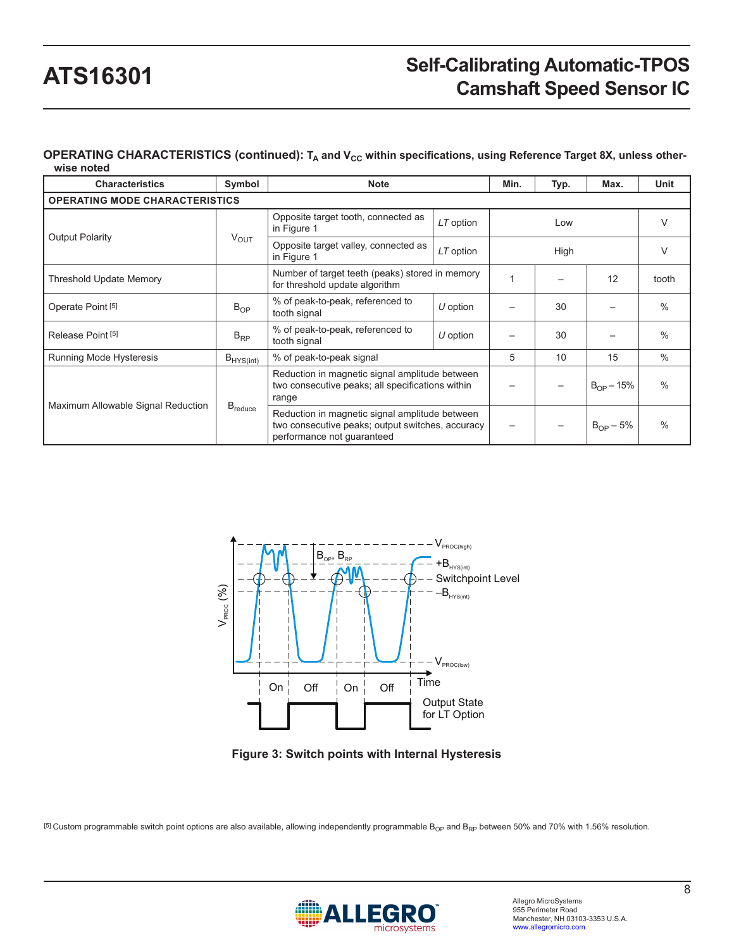#### OPERATING CHARACTERISTICS (continued): T<sub>A</sub> and V<sub>CC</sub> within specifications, using Reference Target 8X, unless other**wise noted**

| <b>Characteristics</b>                | Symbol              | <b>Note</b>                                                                                                                      |            | Min. | Typ. | Max.           | Unit          |
|---------------------------------------|---------------------|----------------------------------------------------------------------------------------------------------------------------------|------------|------|------|----------------|---------------|
| <b>OPERATING MODE CHARACTERISTICS</b> |                     |                                                                                                                                  |            |      |      |                |               |
| <b>Output Polarity</b>                |                     | Opposite target tooth, connected as<br>in Figure 1                                                                               | LT option  | Low  |      | V              |               |
|                                       | $V_{\text{OUT}}$    | Opposite target valley, connected as<br>in Figure 1                                                                              | LT option  |      | High |                | $\vee$        |
| <b>Threshold Update Memory</b>        |                     | Number of target teeth (peaks) stored in memory<br>for threshold update algorithm                                                |            | 1    |      | 12             | tooth         |
| Operate Point <sup>[5]</sup>          | $B_{OP}$            | % of peak-to-peak, referenced to<br>tooth signal                                                                                 | $U$ option |      | 30   |                | $\%$          |
| Release Point <sup>[5]</sup>          | $B_{RP}$            | % of peak-to-peak, referenced to<br>tooth signal                                                                                 | $U$ option |      | 30   |                | $\%$          |
| Running Mode Hysteresis               | $B_{HYS(int)}$      | % of peak-to-peak signal                                                                                                         |            | 5    | 10   | 15             | $\frac{0}{0}$ |
|                                       |                     | Reduction in magnetic signal amplitude between<br>two consecutive peaks; all specifications within<br>range                      |            |      |      | $B_{OP} - 15%$ | $\frac{0}{0}$ |
| Maximum Allowable Signal Reduction    | $B_{\text{reduce}}$ | Reduction in magnetic signal amplitude between<br>two consecutive peaks; output switches, accuracy<br>performance not quaranteed |            |      |      | $B_{OP} - 5%$  | $\%$          |



**Figure 3: Switch points with Internal Hysteresis**

<sup>[5]</sup> Custom programmable switch point options are also available, allowing independently programmable B<sub>OP</sub> and B<sub>RP</sub> between 50% and 70% with 1.56% resolution.

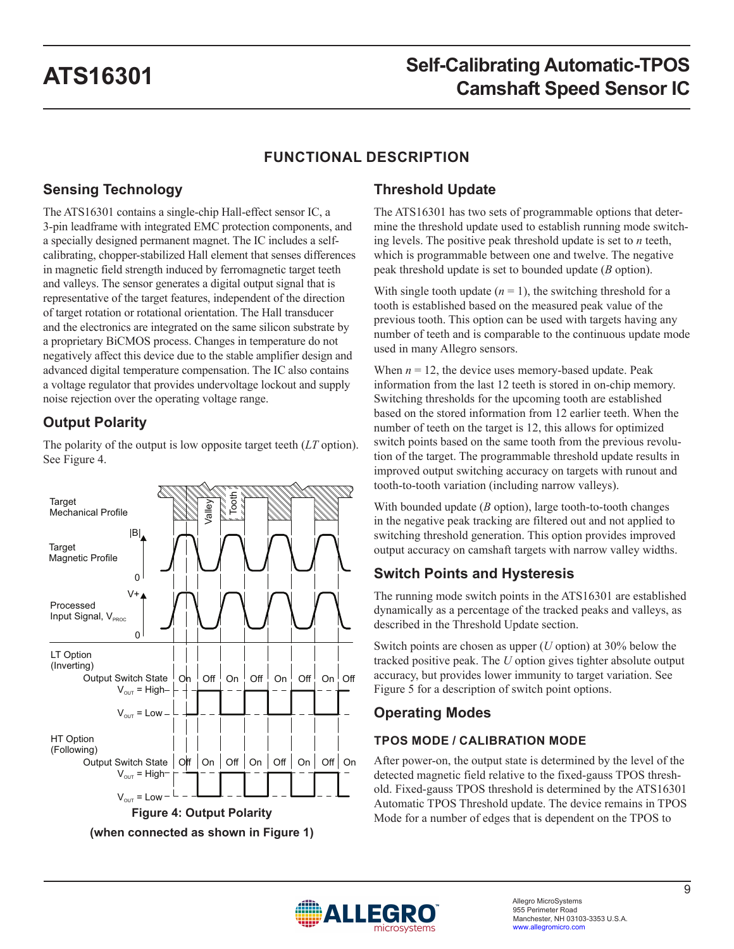## **FUNCTIONAL DESCRIPTION**

## **Sensing Technology**

The ATS16301 contains a single-chip Hall-effect sensor IC, a 3-pin leadframe with integrated EMC protection components, and a specially designed permanent magnet. The IC includes a selfcalibrating, chopper-stabilized Hall element that senses differences in magnetic field strength induced by ferromagnetic target teeth and valleys. The sensor generates a digital output signal that is representative of the target features, independent of the direction of target rotation or rotational orientation. The Hall transducer and the electronics are integrated on the same silicon substrate by a proprietary BiCMOS process. Changes in temperature do not negatively affect this device due to the stable amplifier design and advanced digital temperature compensation. The IC also contains a voltage regulator that provides undervoltage lockout and supply noise rejection over the operating voltage range.

## **Output Polarity**

The polarity of the output is low opposite target teeth (*LT* option). See [Figure 4.](#page-8-0)



### **Threshold Update**

The ATS16301 has two sets of programmable options that determine the threshold update used to establish running mode switching levels. The positive peak threshold update is set to *n* teeth, which is programmable between one and twelve. The negative peak threshold update is set to bounded update (*B* option).

With single tooth update  $(n = 1)$ , the switching threshold for a tooth is established based on the measured peak value of the previous tooth. This option can be used with targets having any number of teeth and is comparable to the continuous update mode used in many Allegro sensors.

When  $n = 12$ , the device uses memory-based update. Peak information from the last 12 teeth is stored in on-chip memory. Switching thresholds for the upcoming tooth are established based on the stored information from 12 earlier teeth. When the number of teeth on the target is 12, this allows for optimized switch points based on the same tooth from the previous revolution of the target. The programmable threshold update results in improved output switching accuracy on targets with runout and tooth-to-tooth variation (including narrow valleys).

With bounded update (*B* option), large tooth-to-tooth changes in the negative peak tracking are filtered out and not applied to switching threshold generation. This option provides improved output accuracy on camshaft targets with narrow valley widths.

## **Switch Points and Hysteresis**

The running mode switch points in the ATS16301 are established dynamically as a percentage of the tracked peaks and valleys, as described in the Threshold Update section.

Switch points are chosen as upper (*U* option) at 30% below the tracked positive peak. The *U* option gives tighter absolute output accuracy, but provides lower immunity to target variation. See [Figure 5](#page-9-0) for a description of switch point options.

### **Operating Modes**

### **TPOS MODE / CALIBRATION MODE**

<span id="page-8-0"></span>After power-on, the output state is determined by the level of the detected magnetic field relative to the fixed-gauss TPOS threshold. Fixed-gauss TPOS threshold is determined by the ATS16301 Automatic TPOS Threshold update. The device remains in TPOS Mode for a number of edges that is dependent on the TPOS to

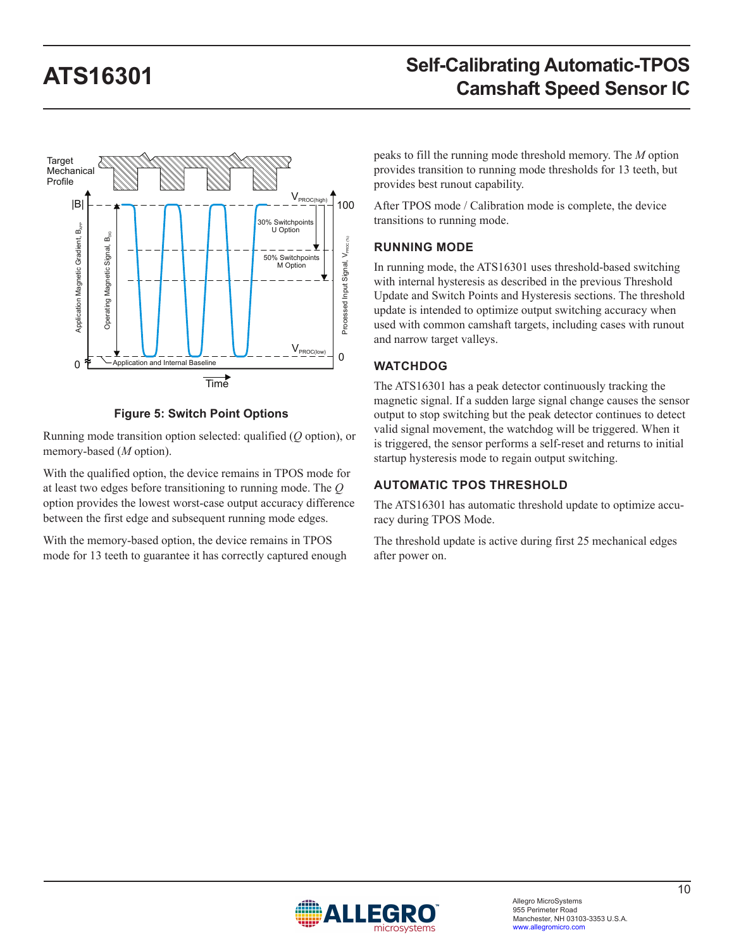

**Figure 5: Switch Point Options**

Running mode transition option selected: qualified (*Q* option), or memory-based (*M* option).

With the qualified option, the device remains in TPOS mode for at least two edges before transitioning to running mode. The *Q* option provides the lowest worst-case output accuracy difference between the first edge and subsequent running mode edges.

With the memory-based option, the device remains in TPOS mode for 13 teeth to guarantee it has correctly captured enough peaks to fill the running mode threshold memory. The *M* option provides transition to running mode thresholds for 13 teeth, but provides best runout capability.

After TPOS mode / Calibration mode is complete, the device transitions to running mode.

### **RUNNING MODE**

In running mode, the ATS16301 uses threshold-based switching with internal hysteresis as described in the previous Threshold Update and Switch Points and Hysteresis sections. The threshold update is intended to optimize output switching accuracy when used with common camshaft targets, including cases with runout and narrow target valleys.

### **WATCHDOG**

<span id="page-9-0"></span>The ATS16301 has a peak detector continuously tracking the magnetic signal. If a sudden large signal change causes the sensor output to stop switching but the peak detector continues to detect valid signal movement, the watchdog will be triggered. When it is triggered, the sensor performs a self-reset and returns to initial startup hysteresis mode to regain output switching.

### **AUTOMATIC TPOS THRESHOLD**

The ATS16301 has automatic threshold update to optimize accuracy during TPOS Mode.

The threshold update is active during first 25 mechanical edges after power on.

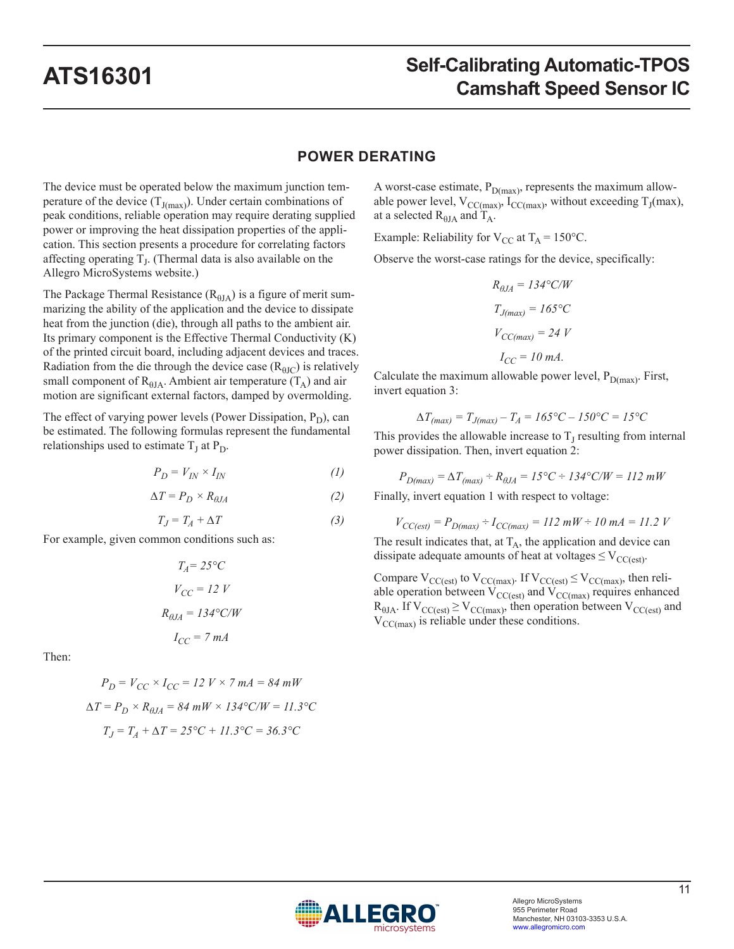### **POWER DERATING**

The device must be operated below the maximum junction temperature of the device  $(T_{J(max)})$ . Under certain combinations of peak conditions, reliable operation may require derating supplied power or improving the heat dissipation properties of the application. This section presents a procedure for correlating factors affecting operating  $T<sub>I</sub>$ . (Thermal data is also available on the Allegro MicroSystems website.)

The Package Thermal Resistance  $(R_{\theta JA})$  is a figure of merit summarizing the ability of the application and the device to dissipate heat from the junction (die), through all paths to the ambient air. Its primary component is the Effective Thermal Conductivity (K) of the printed circuit board, including adjacent devices and traces. Radiation from the die through the device case  $(R_{\theta JC})$  is relatively small component of  $R_{\theta JA}$ . Ambient air temperature  $(T_A)$  and air motion are significant external factors, damped by overmolding.

The effect of varying power levels (Power Dissipation,  $P_D$ ), can be estimated. The following formulas represent the fundamental relationships used to estimate  $T_J$  at  $P_D$ .

$$
P_D = V_{IN} \times I_{IN} \tag{1}
$$

$$
\Delta T = P_D \times R_{\theta J A} \tag{2}
$$

$$
T_J = T_A + \Delta T \tag{3}
$$

For example, given common conditions such as:

$$
T_A = 25^{\circ}C
$$

$$
V_{CC} = 12 V
$$

$$
R_{\theta JA} = 134^{\circ}C/W
$$

$$
I_{CC} = 7 mA
$$

Then:

$$
P_D = V_{CC} \times I_{CC} = 12 \text{ } V \times 7 \text{ } mA = 84 \text{ } mW
$$
  
\n
$$
\Delta T = P_D \times R_{\theta J A} = 84 \text{ } mW \times 134 \text{ } ^\circ \text{C}/W = 11.3 \text{ } ^\circ \text{C}
$$
  
\n
$$
T_J = T_A + \Delta T = 25 \text{ } ^\circ \text{C} + 11.3 \text{ } ^\circ \text{C} = 36.3 \text{ } ^\circ \text{C}
$$

A worst-case estimate,  $P_{D(max)}$ , represents the maximum allowable power level,  $V_{CC(max)}$ ,  $I_{CC(max)}$ , without exceeding  $T_J(max)$ , at a selected  $R_{\theta JA}$  and  $T_A$ .

Example: Reliability for  $V_{CC}$  at  $T_A = 150^{\circ}C$ .

Observe the worst-case ratings for the device, specifically:

$$
R_{\theta J A} = 134 \degree C/W
$$
  
\n
$$
T_{J(max)} = 165 \degree C
$$
  
\n
$$
V_{CC(max)} = 24 V
$$
  
\n
$$
I_{CC} = 10 mA.
$$

Calculate the maximum allowable power level,  $P_{D(max)}$ . First, invert equation 3:

$$
\Delta T_{(max)} = T_{J(max)} - T_A = 165^{\circ}C - 150^{\circ}C = 15^{\circ}C
$$

This provides the allowable increase to  $T<sub>I</sub>$  resulting from internal power dissipation. Then, invert equation 2:

 $P_{D(max)} = \Delta T_{(max)} \div R_{\theta JA} = 15^{\circ}\text{C} \div 134^{\circ}\text{C/W} = 112 \text{ mW}$ Finally, invert equation 1 with respect to voltage:

 $V_{CC(est)} = P_{D(max)} \div I_{CC(max)} = 112 \text{ m}W \div 10 \text{ mA} = 11.2 \text{ V}$ 

The result indicates that, at  $T_A$ , the application and device can dissipate adequate amounts of heat at voltages  $\leq V_{CC(est)}$ .

Compare  $V_{CC(est)}$  to  $V_{CC(max)}$ . If  $V_{CC(est)} \leq V_{CC(max)}$ , then reliable operation between  $V_{CC(est)}$  and  $V_{CC(max)}$  requires enhanced  $R_{\theta JA}$ . If  $V_{CC(est)} \geq V_{CC(max)}$ , then operation between  $V_{CC(est)}$  and  $V_{CC(max)}$  is reliable under these conditions.

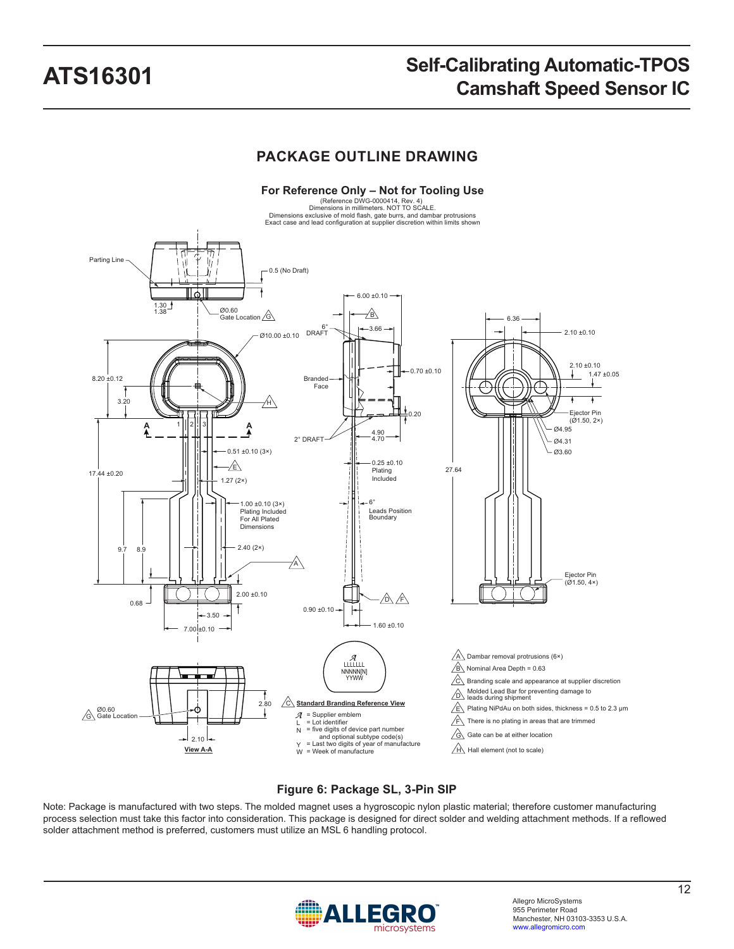## **PACKAGE OUTLINE DRAWING**



### **Figure 6: Package SL, 3-Pin SIP**

Note: Package is manufactured with two steps. The molded magnet uses a hygroscopic nylon plastic material; therefore customer manufacturing process selection must take this factor into consideration. This package is designed for direct solder and welding attachment methods. If a reflowed solder attachment method is preferred, customers must utilize an MSL 6 handling protocol.